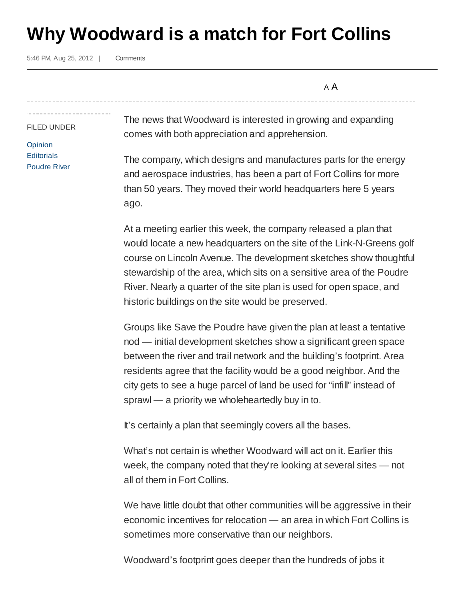## **Why Woodward is a match for Fort Collins**

5:46 PM, Aug 25, 2012 |

**Comments** 

A A

FILED UNDER **Opinion Editorials** Poudre River

The news that Woodward is interested in growing and expanding comes with both appreciation and apprehension.

The company, which designs and manufactures parts for the energy and aerospace industries, has been a part of Fort Collins for more than 50 years. They moved their world headquarters here 5 years ago.

At a meeting earlier this week, the company released a plan that would locate a new headquarters on the site of the Link-N-Greens golf course on Lincoln Avenue. The development sketches show thoughtful stewardship of the area, which sits on a sensitive area of the Poudre River. Nearly a quarter of the site plan is used for open space, and historic buildings on the site would be preserved.

Groups like Save the Poudre have given the plan at least a tentative nod — initial development sketches show a significant green space between the river and trail network and the building's footprint. Area residents agree that the facility would be a good neighbor. And the city gets to see a huge parcel of land be used for "infill" instead of sprawl — a priority we wholeheartedly buy in to.

It's certainly a plan that seemingly covers all the bases.

What's not certain is whether Woodward will act on it. Earlier this week, the company noted that they're looking at several sites — not all of them in Fort Collins.

We have little doubt that other communities will be aggressive in their economic incentives for relocation — an area in which Fort Collins is sometimes more conservative than our neighbors.

Woodward's footprint goes deeper than the hundreds of jobs it